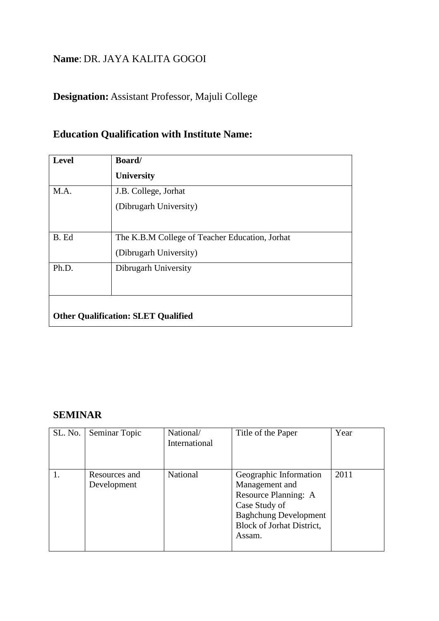### **Name**: DR. JAYA KALITA GOGOI

# **Designation:** Assistant Professor, Majuli College

## **Education Qualification with Institute Name:**

| Level                                      | Board/                                         |  |  |
|--------------------------------------------|------------------------------------------------|--|--|
|                                            | <b>University</b>                              |  |  |
| M.A.                                       | J.B. College, Jorhat                           |  |  |
|                                            | (Dibrugarh University)                         |  |  |
|                                            |                                                |  |  |
| B. Ed                                      | The K.B.M College of Teacher Education, Jorhat |  |  |
|                                            | (Dibrugarh University)                         |  |  |
| Ph.D.                                      | Dibrugarh University                           |  |  |
|                                            |                                                |  |  |
|                                            |                                                |  |  |
| <b>Other Qualification: SLET Qualified</b> |                                                |  |  |

### **SEMINAR**

| SL. No. | Seminar Topic                | National/<br>International | Title of the Paper                                                                                                                                              | Year |
|---------|------------------------------|----------------------------|-----------------------------------------------------------------------------------------------------------------------------------------------------------------|------|
|         | Resources and<br>Development | National                   | Geographic Information<br>Management and<br>Resource Planning: A<br>Case Study of<br><b>Baghchung Development</b><br><b>Block of Jorhat District,</b><br>Assam. | 2011 |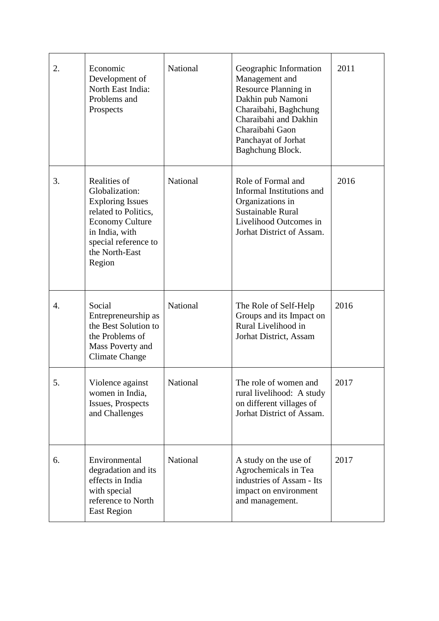| 2. | Economic<br>Development of<br>North East India:<br>Problems and<br>Prospects                                                                                                      | National        | Geographic Information<br>Management and<br>Resource Planning in<br>Dakhin pub Namoni<br>Charaibahi, Baghchung<br>Charaibahi and Dakhin<br>Charaibahi Gaon<br>Panchayat of Jorhat<br>Baghchung Block. | 2011 |
|----|-----------------------------------------------------------------------------------------------------------------------------------------------------------------------------------|-----------------|-------------------------------------------------------------------------------------------------------------------------------------------------------------------------------------------------------|------|
| 3. | Realities of<br>Globalization:<br><b>Exploring Issues</b><br>related to Politics,<br><b>Economy Culture</b><br>in India, with<br>special reference to<br>the North-East<br>Region | National        | Role of Formal and<br>Informal Institutions and<br>Organizations in<br><b>Sustainable Rural</b><br>Livelihood Outcomes in<br>Jorhat District of Assam.                                                | 2016 |
| 4. | Social<br>Entrepreneurship as<br>the Best Solution to<br>the Problems of<br>Mass Poverty and<br><b>Climate Change</b>                                                             | National        | The Role of Self-Help<br>Groups and its Impact on<br>Rural Livelihood in<br>Jorhat District, Assam                                                                                                    | 2016 |
| 5  | Violence against<br>women in India,<br>Issues, Prospects<br>and Challenges                                                                                                        | <b>National</b> | The role of women and<br>rural livelihood: A study<br>on different villages of<br>Jorhat District of Assam.                                                                                           | 2017 |
| 6. | Environmental<br>degradation and its<br>effects in India<br>with special<br>reference to North<br><b>East Region</b>                                                              | National        | A study on the use of<br>Agrochemicals in Tea<br>industries of Assam - Its<br>impact on environment<br>and management.                                                                                | 2017 |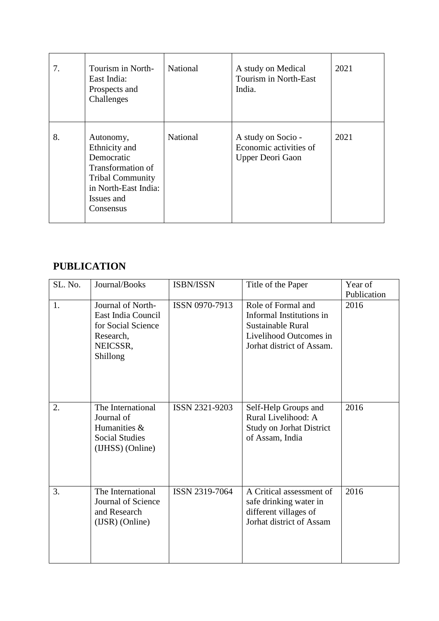| 7. | Tourism in North-<br>East India:<br>Prospects and<br>Challenges                                                                             | National | A study on Medical<br>Tourism in North-East<br>India.            | 2021 |
|----|---------------------------------------------------------------------------------------------------------------------------------------------|----------|------------------------------------------------------------------|------|
| 8. | Autonomy,<br>Ethnicity and<br>Democratic<br>Transformation of<br><b>Tribal Community</b><br>in North-East India:<br>Issues and<br>Consensus | National | A study on Socio -<br>Economic activities of<br>Upper Deori Gaon | 2021 |

# **PUBLICATION**

| SL. No. | Journal/Books                                                                                      | ISBN/ISSN      | Title of the Paper                                                                                                         | Year of<br>Publication |
|---------|----------------------------------------------------------------------------------------------------|----------------|----------------------------------------------------------------------------------------------------------------------------|------------------------|
| 1.      | Journal of North-<br>East India Council<br>for Social Science<br>Research,<br>NEICSSR,<br>Shillong | ISSN 0970-7913 | Role of Formal and<br>Informal Institutions in<br>Sustainable Rural<br>Livelihood Outcomes in<br>Jorhat district of Assam. | 2016                   |
| 2.      | The International<br>Journal of<br>Humanities &<br><b>Social Studies</b><br>(IJHSS) (Online)       | ISSN 2321-9203 | Self-Help Groups and<br>Rural Livelihood: A<br><b>Study on Jorhat District</b><br>of Assam, India                          | 2016                   |
| 3.      | The International<br>Journal of Science<br>and Research<br>(IJSR) (Online)                         | ISSN 2319-7064 | A Critical assessment of<br>safe drinking water in<br>different villages of<br>Jorhat district of Assam                    | 2016                   |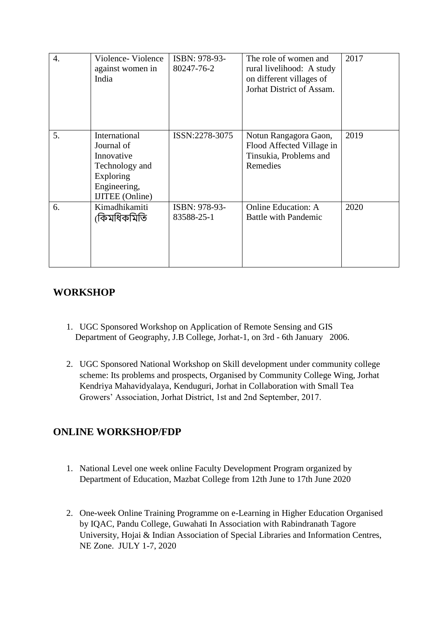| $\overline{4}$ . | Violence-Violence<br>against women in<br>India                                                                     | ISBN: 978-93-<br>80247-76-2 | The role of women and<br>rural livelihood: A study<br>on different villages of<br>Jorhat District of Assam. | 2017 |
|------------------|--------------------------------------------------------------------------------------------------------------------|-----------------------------|-------------------------------------------------------------------------------------------------------------|------|
| 5.               | International<br>Journal of<br>Innovative<br>Technology and<br>Exploring<br>Engineering,<br><b>IJITEE</b> (Online) | ISSN:2278-3075              | Notun Rangagora Gaon,<br>Flood Affected Village in<br>Tinsukia, Problems and<br>Remedies                    | 2019 |
| 6.               | Kimadhikamiti<br>(কিমধিকমিতি                                                                                       | ISBN: 978-93-<br>83588-25-1 | <b>Online Education: A</b><br><b>Battle with Pandemic</b>                                                   | 2020 |

### **WORKSHOP**

- 1. UGC Sponsored Workshop on Application of Remote Sensing and GIS Department of Geography, J.B College, Jorhat-1, on 3rd - 6th January 2006.
- 2. UGC Sponsored National Workshop on Skill development under community college scheme: Its problems and prospects, Organised by Community College Wing, Jorhat Kendriya Mahavidyalaya, Kenduguri, Jorhat in Collaboration with Small Tea Growers' Association, Jorhat District, 1st and 2nd September, 2017.

### **ONLINE WORKSHOP/FDP**

- 1. National Level one week online Faculty Development Program organized by Department of Education, Mazbat College from 12th June to 17th June 2020
- 2. One-week Online Training Programme on e-Learning in Higher Education Organised by IQAC, Pandu College, Guwahati In Association with Rabindranath Tagore University, Hojai & Indian Association of Special Libraries and Information Centres, NE Zone. JULY 1-7, 2020